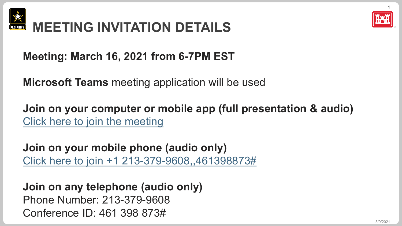



**Meeting: March 16, 2021 from 6-7PM EST**

**Microsoft Teams** meeting application will be used

**Join on your computer or mobile app (full presentation & audio)** [Click here to join the meeting](https://teams.microsoft.com/l/meetup-join/19%3ameeting_MTJmMTM3NDYtODA1ZS00Mjk4LWJkYjktOWVlYzFlOTRlZTMy%40thread.v2/0?context=%7b%22Tid%22%3a%227f90057d-3ea0-46fe-b07c-e0568627081b%22%2c%22Oid%22%3a%2298f204f3-8b3f-4417-bb68-322cf68d3655%22%7d)

**Join on your mobile phone (audio only)** [Click here to join +1 213-379-9608,,461398873#](tel:+12133799608,,461398873#%20)

**Join on any telephone (audio only)** Phone Number: 213-379-9608 Conference ID: 461 398 873#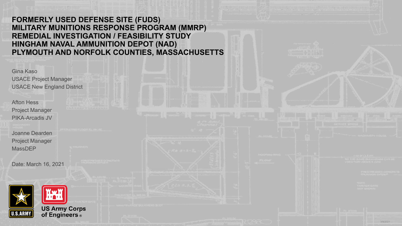#### **FORMERLY USED DEFENSE SITE (FUDS) MILITARY MUNITIONS RESPONSE PROGRAM (MMRP) REMEDIAL INVESTIGATION / FEASIBILITY STUDY HINGHAM NAVAL AMMUNITION DEPOT (NAD) PLYMOUTH AND NORFOLK COUNTIES, MASSACHUSETTS**

| Gina Kaso<br><b>USACE Project Manager</b><br><b>USACE New England District</b> |          |
|--------------------------------------------------------------------------------|----------|
| <b>Afton Hess</b><br><b>Project Manager</b><br><b>PIKA-Arcadis JV</b>          |          |
| Joanne Dearden<br><b>Project Manager</b><br>MassDEP                            |          |
| Date: March 16, 2021                                                           |          |
| $\mathbf{V}$<br><b>US Army Corps<br/>of Engineers</b> ®<br><b>U.S.ARMY</b>     | 3/9/2021 |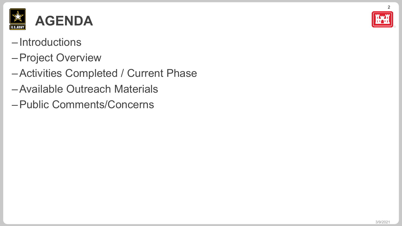

- –Introductions
- –Project Overview
- –Activities Completed / Current Phase
- –Available Outreach Materials
- –Public Comments/Concerns

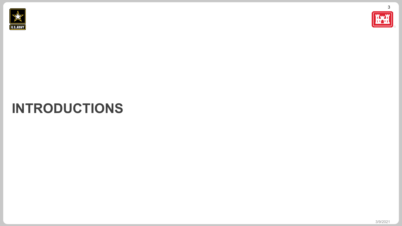

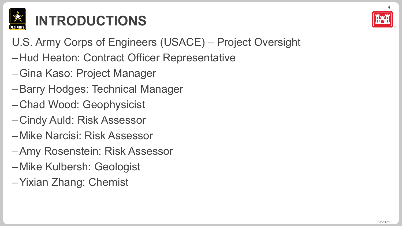

- U.S. Army Corps of Engineers (USACE) Project Oversight
- –Hud Heaton: Contract Officer Representative
- –Gina Kaso: Project Manager
- –Barry Hodges: Technical Manager
- –Chad Wood: Geophysicist
- –Cindy Auld: Risk Assessor
- –Mike Narcisi: Risk Assessor
- –Amy Rosenstein: Risk Assessor
- –Mike Kulbersh: Geologist
- –Yixian Zhang: Chemist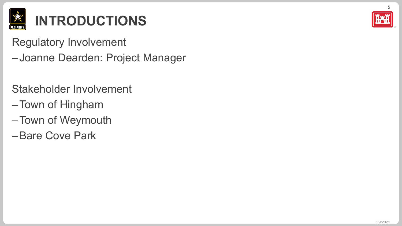

Regulatory Involvement

–Joanne Dearden: Project Manager

Stakeholder Involvement

- –Town of Hingham
- –Town of Weymouth
- –Bare Cove Park

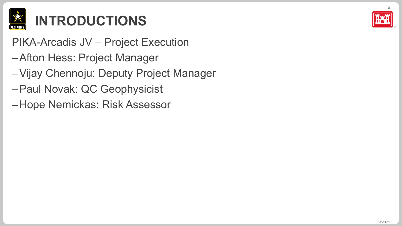

- PIKA-Arcadis JV Project Execution
- –Afton Hess: Project Manager
- –Vijay Chennoju: Deputy Project Manager
- –Paul Novak: QC Geophysicist
- –Hope Nemickas: Risk Assessor

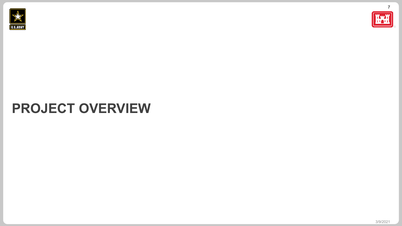



#### **PROJECT OVERVIEW**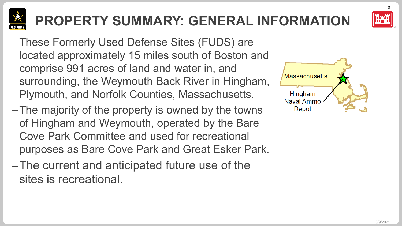- –These Formerly Used Defense Sites (FUDS) are located approximately 15 miles south of Boston and comprise 991 acres of land and water in, and surrounding, the Weymouth Back River in Hingham, Plymouth, and Norfolk Counties, Massachusetts.
- –The majority of the property is owned by the towns of Hingham and Weymouth, operated by the Bare Cove Park Committee and used for recreational purposes as Bare Cove Park and Great Esker Park.
- –The current and anticipated future use of the sites is recreational.



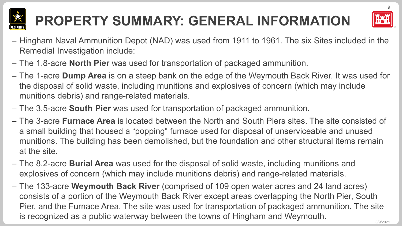



- Hingham Naval Ammunition Depot (NAD) was used from 1911 to 1961. The six Sites included in the Remedial Investigation include:
- The 1.8-acre **North Pier** was used for transportation of packaged ammunition.
- The 1-acre **Dump Area** is on a steep bank on the edge of the Weymouth Back River. It was used for the disposal of solid waste, including munitions and explosives of concern (which may include munitions debris) and range-related materials.
- The 3.5-acre **South Pier** was used for transportation of packaged ammunition.
- The 3-acre **Furnace Area** is located between the North and South Piers sites. The site consisted of a small building that housed a "popping" furnace used for disposal of unserviceable and unused munitions. The building has been demolished, but the foundation and other structural items remain at the site.
- The 8.2-acre **Burial Area** was used for the disposal of solid waste, including munitions and explosives of concern (which may include munitions debris) and range-related materials.
- The 133-acre **Weymouth Back River** (comprised of 109 open water acres and 24 land acres) consists of a portion of the Weymouth Back River except areas overlapping the North Pier, South Pier, and the Furnace Area. The site was used for transportation of packaged ammunition. The site is recognized as a public waterway between the towns of Hingham and Weymouth.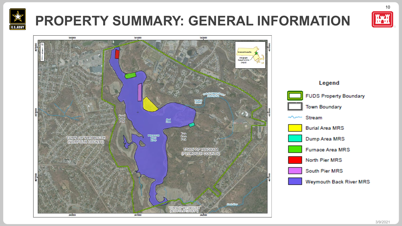





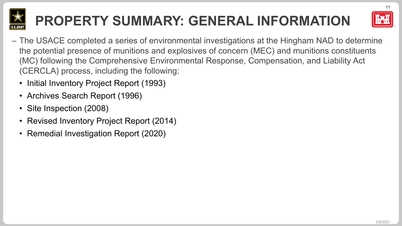



- The USACE completed a series of environmental investigations at the Hingham NAD to determine the potential presence of munitions and explosives of concern (MEC) and munitions constituents (MC) following the Comprehensive Environmental Response, Compensation, and Liability Act (CERCLA) process, including the following:
	- Initial Inventory Project Report (1993)
	- Archives Search Report (1996)
	- Site Inspection (2008)
	- Revised Inventory Project Report (2014)
	- Remedial Investigation Report (2020)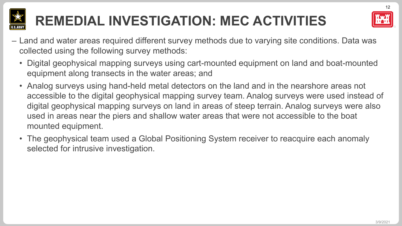

# **REMEDIAL INVESTIGATION: MEC ACTIVITIES**



- Land and water areas required different survey methods due to varying site conditions. Data was collected using the following survey methods:
	- Digital geophysical mapping surveys using cart-mounted equipment on land and boat-mounted equipment along transects in the water areas; and
	- Analog surveys using hand-held metal detectors on the land and in the nearshore areas not accessible to the digital geophysical mapping survey team. Analog surveys were used instead of digital geophysical mapping surveys on land in areas of steep terrain. Analog surveys were also used in areas near the piers and shallow water areas that were not accessible to the boat mounted equipment.
	- The geophysical team used a Global Positioning System receiver to reacquire each anomaly selected for intrusive investigation.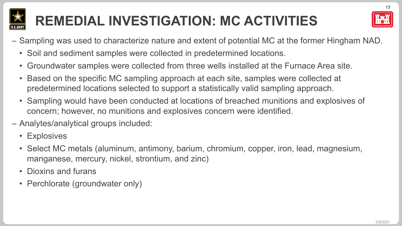

# **REMEDIAL INVESTIGATION: MC ACTIVITIES**



- Sampling was used to characterize nature and extent of potential MC at the former Hingham NAD.
	- Soil and sediment samples were collected in predetermined locations.
	- Groundwater samples were collected from three wells installed at the Furnace Area site.
	- Based on the specific MC sampling approach at each site, samples were collected at predetermined locations selected to support a statistically valid sampling approach.
	- Sampling would have been conducted at locations of breached munitions and explosives of concern; however, no munitions and explosives concern were identified.
- Analytes/analytical groups included:
	- Explosives
	- Select MC metals (aluminum, antimony, barium, chromium, copper, iron, lead, magnesium, manganese, mercury, nickel, strontium, and zinc)
	- Dioxins and furans
	- Perchlorate (groundwater only)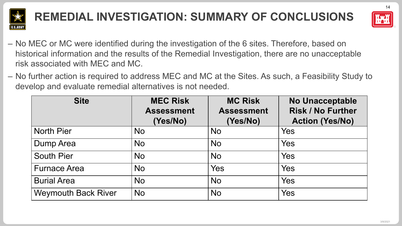

#### **REMEDIAL INVESTIGATION: SUMMARY OF CONCLUSIONS**



- No MEC or MC were identified during the investigation of the 6 sites. Therefore, based on historical information and the results of the Remedial Investigation, there are no unacceptable risk associated with MEC and MC.
- No further action is required to address MEC and MC at the Sites. As such, a Feasibility Study to develop and evaluate remedial alternatives is not needed.

| <b>Site</b>                | <b>MEC Risk</b><br><b>Assessment</b><br>(Yes/No) | <b>MC Risk</b><br><b>Assessment</b><br>(Yes/No) | <b>No Unacceptable</b><br><b>Risk / No Further</b><br><b>Action (Yes/No)</b> |
|----------------------------|--------------------------------------------------|-------------------------------------------------|------------------------------------------------------------------------------|
| <b>North Pier</b>          | <b>No</b>                                        | <b>No</b>                                       | Yes                                                                          |
| Dump Area                  | <b>No</b>                                        | <b>No</b>                                       | Yes                                                                          |
| <b>South Pier</b>          | <b>No</b>                                        | <b>No</b>                                       | Yes                                                                          |
| <b>Furnace Area</b>        | <b>No</b>                                        | Yes                                             | Yes                                                                          |
| <b>Burial Area</b>         | <b>No</b>                                        | <b>No</b>                                       | Yes                                                                          |
| <b>Weymouth Back River</b> | <b>No</b>                                        | <b>No</b>                                       | Yes                                                                          |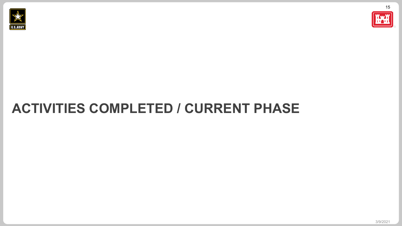



### **ACTIVITIES COMPLETED / CURRENT PHASE**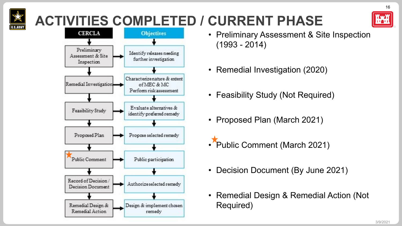

### **ACTIVITIES COMPLETED / CURRENT PHASE**



- Preliminary Assessment & Site Inspection (1993 - 2014)
- Remedial Investigation (2020)
- Feasibility Study (Not Required)
- Proposed Plan (March 2021)
- Public Comment (March 2021)
- Decision Document (By June 2021)
- Remedial Design & Remedial Action (Not Required)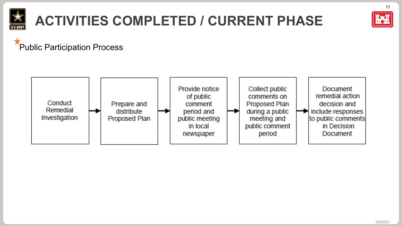

## **ACTIVITIES COMPLETED / CURRENT PHASE**



17

Public Participation Process

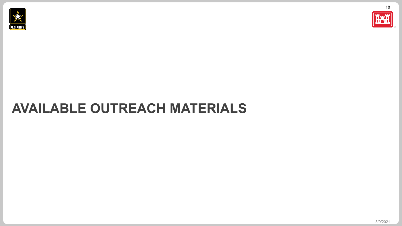



### **AVAILABLE OUTREACH MATERIALS**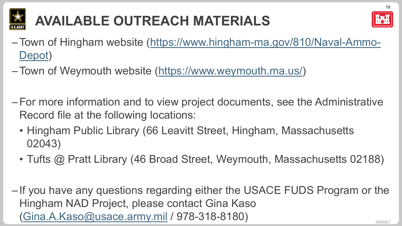

# **AVAILABLE OUTREACH MATERIALS**



- –[Town of Hingham website \(https://www.hingham-ma.gov/810/Naval-Ammo-](https://www.hingham-ma.gov/810/Naval-Ammo-Depot)Depot)
- –Town of Weymouth website [\(https://www.weymouth.ma.us/](https://www.weymouth.ma.us/))
- –For more information and to view project documents, see the Administrative Record file at the following locations:
	- Hingham Public Library (66 Leavitt Street, Hingham, Massachusetts 02043)
	- Tufts @ Pratt Library (46 Broad Street, Weymouth, Massachusetts 02188)
- –If you have any questions regarding either the USACE FUDS Program or the Hingham NAD Project, please contact Gina Kaso  $(\underline{\text{Gina.A.Kaso@usace.army.mil}}$  $(\underline{\text{Gina.A.Kaso@usace.army.mil}}$  $(\underline{\text{Gina.A.Kaso@usace.army.mil}}$  / 978-318-8180)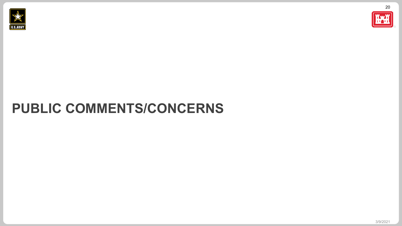



#### **PUBLIC COMMENTS/CONCERNS**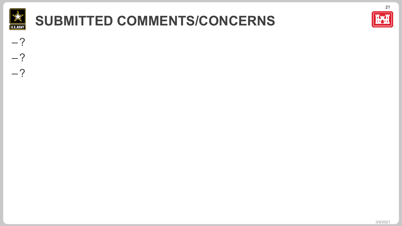

### **SUBMITTED COMMENTS/CONCERNS**



–? –? –?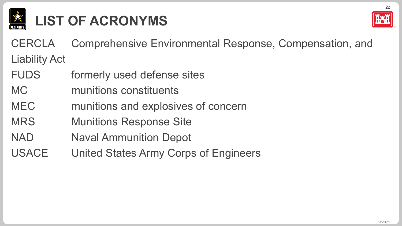

## **LIST OF ACRONYMS**



CERCLA Comprehensive Environmental Response, Compensation, and Liability Act

- FUDS formerly used defense sites
- MC munitions constituents
- MEC munitions and explosives of concern
- MRS Munitions Response Site
- NAD Naval Ammunition Depot
- USACE United States Army Corps of Engineers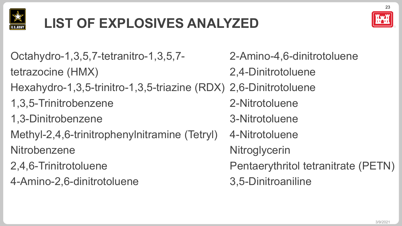

## **LIST OF EXPLOSIVES ANALYZED**



Octahydro-1,3,5,7-tetranitro-1,3,5,7 tetrazocine (HMX) Hexahydro-1,3,5-trinitro-1,3,5-triazine (RDX) 1,3,5-Trinitrobenzene 1,3-Dinitrobenzene Methyl-2,4,6-trinitrophenylnitramine (Tetryl) Nitrobenzene 2,4,6-Trinitrotoluene 4-Amino-2,6-dinitrotoluene 2-Amino-4,6-dinitrotoluene 2,4-Dinitrotoluene 2,6-Dinitrotoluene 2-Nitrotoluene 3-Nitrotoluene 4-Nitrotoluene **Nitroglycerin** Pentaerythritol tetranitrate (PETN) 3,5-Dinitroaniline